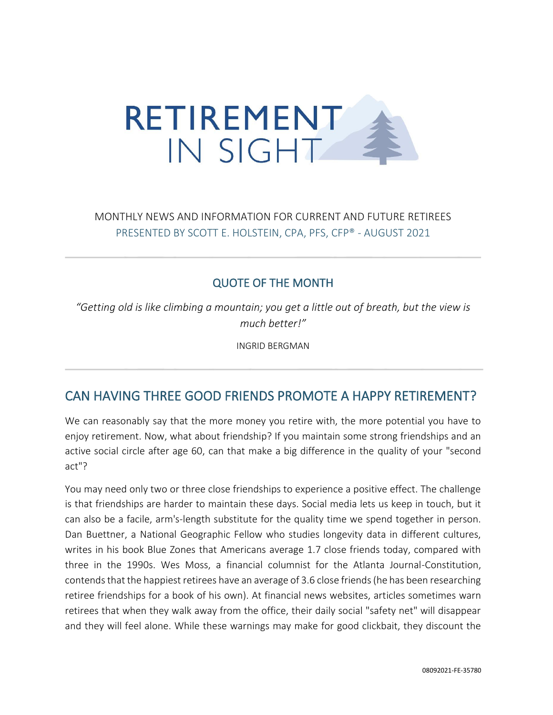

## MONTHLY NEWS AND INFORMATION FOR CURRENT AND FUTURE RETIREES PRESENTED BY SCOTT E. HOLSTEIN, CPA, PFS, CFP® - AUGUST 2021

#### QUOTE OF THE MONTH

*"Getting old is like climbing a mountain; you get a little out of breath, but the view is much better!"*

INGRID BERGMAN

## CAN HAVING THREE GOOD FRIENDS PROMOTE A HAPPY RETIREMENT?

We can reasonably say that the more money you retire with, the more potential you have to enjoy retirement. Now, what about friendship? If you maintain some strong friendships and an active social circle after age 60, can that make a big difference in the quality of your "second act"?

You may need only two or three close friendships to experience a positive effect. The challenge is that friendships are harder to maintain these days. Social media lets us keep in touch, but it can also be a facile, arm's-length substitute for the quality time we spend together in person. Dan Buettner, a National Geographic Fellow who studies longevity data in different cultures, writes in his book Blue Zones that Americans average 1.7 close friends today, compared with three in the 1990s. Wes Moss, a financial columnist for the Atlanta Journal-Constitution, contends that the happiest retirees have an average of 3.6 close friends (he has been researching retiree friendships for a book of his own). At financial news websites, articles sometimes warn retirees that when they walk away from the office, their daily social "safety net" will disappear and they will feel alone. While these warnings may make for good clickbait, they discount the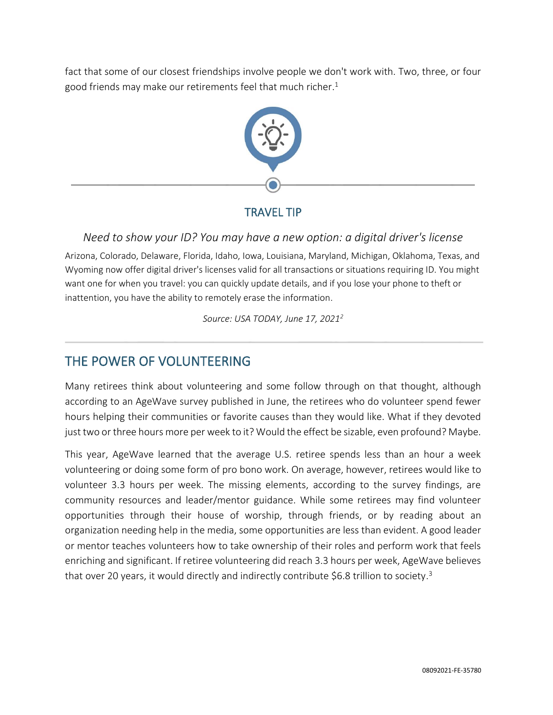fact that some of our closest friendships involve people we don't work with. Two, three, or four good friends may make our retirements feel that much richer. 1



### TRAVEL TIP

*Need to show your ID? You may have a new option: a digital driver's license*

Arizona, Colorado, Delaware, Florida, Idaho, Iowa, Louisiana, Maryland, Michigan, Oklahoma, Texas, and Wyoming now offer digital driver's licenses valid for all transactions or situations requiring ID. You might want one for when you travel: you can quickly update details, and if you lose your phone to theft or inattention, you have the ability to remotely erase the information.

*Source: USA TODAY, June 17, 2021<sup>2</sup>*

# THE POWER OF VOLUNTEERING

Many retirees think about volunteering and some follow through on that thought, although according to an AgeWave survey published in June, the retirees who do volunteer spend fewer hours helping their communities or favorite causes than they would like. What if they devoted just two or three hours more per week to it? Would the effect be sizable, even profound? Maybe.

This year, AgeWave learned that the average U.S. retiree spends less than an hour a week volunteering or doing some form of pro bono work. On average, however, retirees would like to volunteer 3.3 hours per week. The missing elements, according to the survey findings, are community resources and leader/mentor guidance. While some retirees may find volunteer opportunities through their house of worship, through friends, or by reading about an organization needing help in the media, some opportunities are less than evident. A good leader or mentor teaches volunteers how to take ownership of their roles and perform work that feels enriching and significant. If retiree volunteering did reach 3.3 hours per week, AgeWave believes that over 20 years, it would directly and indirectly contribute \$6.8 trillion to society.<sup>3</sup>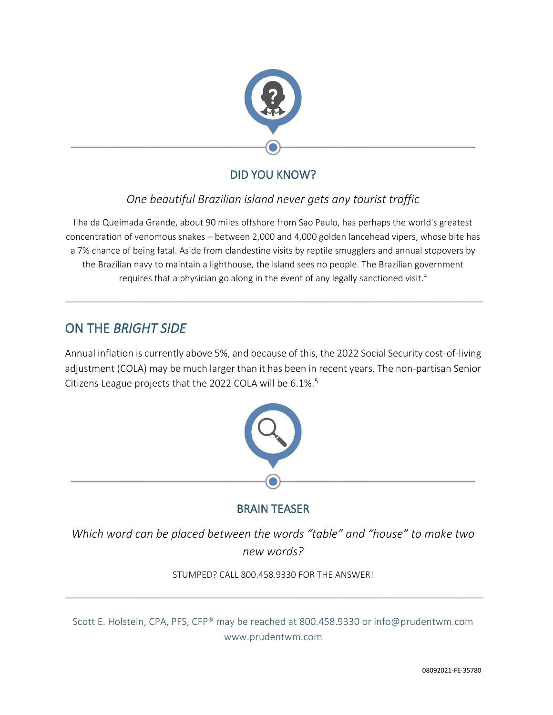

## DID YOU KNOW?

### *One beautiful Brazilian island never gets any tourist traffic*

Ilha da Queimada Grande, about 90 miles offshore from Sao Paulo, has perhaps the world's greatest concentration of venomous snakes – between 2,000 and 4,000 golden lancehead vipers, whose bite has a 7% chance of being fatal. Aside from clandestine visits by reptile smugglers and annual stopovers by the Brazilian navy to maintain a lighthouse, the island sees no people. The Brazilian government requires that a physician go along in the event of any legally sanctioned visit. 4

# ON THE *BRIGHT SIDE*

Annual inflation is currently above 5%, and because of this, the 2022 Social Security cost-of-living adjustment (COLA) may be much larger than it has been in recent years. The non-partisan Senior Citizens League projects that the 2022 COLA will be 6.1%. 5



### BRAIN TEASER

*Which word can be placed between the words "table" and "house" to make two new words?*

STUMPED? CALL 800.458.9330 FOR THE ANSWER!

Scott E. Holstein, CPA, PFS, CFP® may be reached at 800.458.9330 or info@prudentwm.com www.prudentwm.com